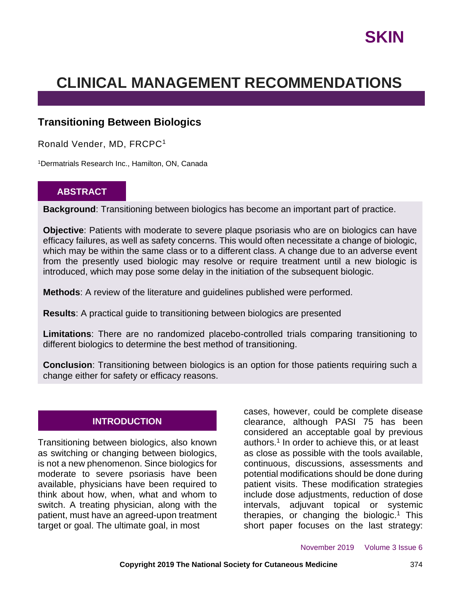## **CLINICAL MANAGEMENT RECOMMENDATIONS**

## **Transitioning Between Biologics**

Ronald Vender, MD, FRCPC<sup>1</sup>

<sup>1</sup>Dermatrials Research Inc., Hamilton, ON, Canada

#### **ABSTRACT**

**Background**: Transitioning between biologics has become an important part of practice.

**Objective**: Patients with moderate to severe plaque psoriasis who are on biologics can have efficacy failures, as well as safety concerns. This would often necessitate a change of biologic, which may be within the same class or to a different class. A change due to an adverse event from the presently used biologic may resolve or require treatment until a new biologic is introduced, which may pose some delay in the initiation of the subsequent biologic.

**Methods**: A review of the literature and guidelines published were performed.

**Results**: A practical guide to transitioning between biologics are presented

**Limitations**: There are no randomized placebo-controlled trials comparing transitioning to different biologics to determine the best method of transitioning.

**Conclusion**: Transitioning between biologics is an option for those patients requiring such a change either for safety or efficacy reasons.

#### **INTRODUCTION**

Transitioning between biologics, also known as switching or changing between biologics, is not a new phenomenon. Since biologics for moderate to severe psoriasis have been available, physicians have been required to think about how, when, what and whom to switch. A treating physician, along with the patient, must have an agreed-upon treatment target or goal. The ultimate goal, in most

cases, however, could be complete disease clearance, although PASI 75 has been considered an acceptable goal by previous authors.<sup>1</sup> In order to achieve this, or at least as close as possible with the tools available, continuous, discussions, assessments and potential modifications should be done during patient visits. These modification strategies include dose adjustments, reduction of dose intervals, adjuvant topical or systemic therapies, or changing the biologic.<sup>1</sup> This short paper focuses on the last strategy: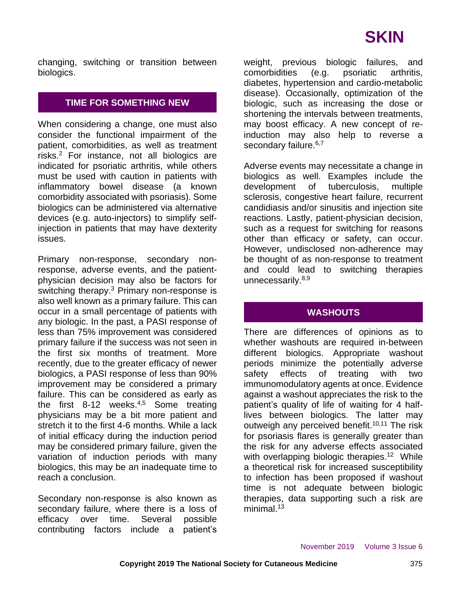changing, switching or transition between biologics.

## **TIME FOR SOMETHING NEW**

When considering a change, one must also consider the functional impairment of the patient, comorbidities, as well as treatment risks.<sup>2</sup> For instance, not all biologics are indicated for psoriatic arthritis, while others must be used with caution in patients with inflammatory bowel disease (a known comorbidity associated with psoriasis). Some biologics can be administered via alternative devices (e.g. auto-injectors) to simplify selfinjection in patients that may have dexterity issues.

Primary non-response, secondary nonresponse, adverse events, and the patientphysician decision may also be factors for switching therapy.<sup>3</sup> Primary non-response is also well known as a primary failure. This can occur in a small percentage of patients with any biologic. In the past, a PASI response of less than 75% improvement was considered primary failure if the success was not seen in the first six months of treatment. More recently, due to the greater efficacy of newer biologics, a PASI response of less than 90% improvement may be considered a primary failure. This can be considered as early as the first 8-12 weeks. $4.5$  Some treating physicians may be a bit more patient and stretch it to the first 4-6 months. While a lack of initial efficacy during the induction period may be considered primary failure, given the variation of induction periods with many biologics, this may be an inadequate time to reach a conclusion.

Secondary non-response is also known as secondary failure, where there is a loss of efficacy over time. Several possible contributing factors include a patient's weight, previous biologic failures, and comorbidities (e.g. psoriatic arthritis, diabetes, hypertension and cardio-metabolic disease). Occasionally, optimization of the biologic, such as increasing the dose or shortening the intervals between treatments, may boost efficacy. A new concept of reinduction may also help to reverse a secondary failure.<sup>6,7</sup>

Adverse events may necessitate a change in biologics as well. Examples include the development of tuberculosis, multiple sclerosis, congestive heart failure, recurrent candidiasis and/or sinusitis and injection site reactions. Lastly, patient-physician decision, such as a request for switching for reasons other than efficacy or safety, can occur. However, undisclosed non-adherence may be thought of as non-response to treatment and could lead to switching therapies unnecessarily.<sup>8,9</sup>

### **WASHOUTS**

There are differences of opinions as to whether washouts are required in-between different biologics. Appropriate washout periods minimize the potentially adverse safety effects of treating with two immunomodulatory agents at once. Evidence against a washout appreciates the risk to the patient's quality of life of waiting for 4 halflives between biologics. The latter may outweigh any perceived benefit.<sup>10,11</sup> The risk for psoriasis flares is generally greater than the risk for any adverse effects associated with overlapping biologic therapies.<sup>12</sup> While a theoretical risk for increased susceptibility to infection has been proposed if washout time is not adequate between biologic therapies, data supporting such a risk are minimal. $13$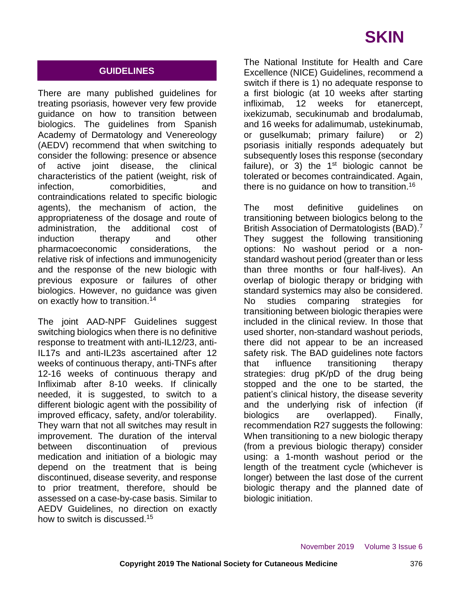## **GUIDELINES**

There are many published guidelines for treating psoriasis, however very few provide guidance on how to transition between biologics. The guidelines from Spanish Academy of Dermatology and Venereology (AEDV) recommend that when switching to consider the following: presence or absence of active joint disease, the clinical characteristics of the patient (weight, risk of infection, comorbidities, and contraindications related to specific biologic agents), the mechanism of action, the appropriateness of the dosage and route of administration, the additional cost of induction therapy and other pharmacoeconomic considerations, the relative risk of infections and immunogenicity and the response of the new biologic with previous exposure or failures of other biologics. However, no guidance was given on exactly how to transition.<sup>14</sup>

The joint AAD-NPF Guidelines suggest switching biologics when there is no definitive response to treatment with anti-IL12/23, anti-IL17s and anti-IL23s ascertained after 12 weeks of continuous therapy, anti-TNFs after 12-16 weeks of continuous therapy and Infliximab after 8-10 weeks. If clinically needed, it is suggested, to switch to a different biologic agent with the possibility of improved efficacy, safety, and/or tolerability. They warn that not all switches may result in improvement. The duration of the interval between discontinuation of previous medication and initiation of a biologic may depend on the treatment that is being discontinued, disease severity, and response to prior treatment, therefore, should be assessed on a case-by-case basis. Similar to AEDV Guidelines, no direction on exactly how to switch is discussed.<sup>15</sup>

The National Institute for Health and Care Excellence (NICE) Guidelines, recommend a switch if there is 1) no adequate response to a first biologic (at 10 weeks after starting infliximab, 12 weeks for etanercept, ixekizumab, secukinumab and brodalumab, and 16 weeks for adalimumab, ustekinumab, or guselkumab; primary failure) or 2) psoriasis initially responds adequately but subsequently loses this response (secondary failure), or 3) the  $1<sup>st</sup>$  biologic cannot be tolerated or becomes contraindicated. Again, there is no quidance on how to transition.<sup>16</sup>

The most definitive guidelines on transitioning between biologics belong to the British Association of Dermatologists (BAD).<sup>7</sup> They suggest the following transitioning options: No washout period or a nonstandard washout period (greater than or less than three months or four half-lives). An overlap of biologic therapy or bridging with standard systemics may also be considered. No studies comparing strategies for transitioning between biologic therapies were included in the clinical review. In those that used shorter, non-standard washout periods, there did not appear to be an increased safety risk. The BAD guidelines note factors that influence transitioning therapy strategies: drug pK/pD of the drug being stopped and the one to be started, the patient's clinical history, the disease severity and the underlying risk of infection (if biologics are overlapped). Finally, recommendation R27 suggests the following: When transitioning to a new biologic therapy (from a previous biologic therapy) consider using: a 1-month washout period or the length of the treatment cycle (whichever is longer) between the last dose of the current biologic therapy and the planned date of biologic initiation.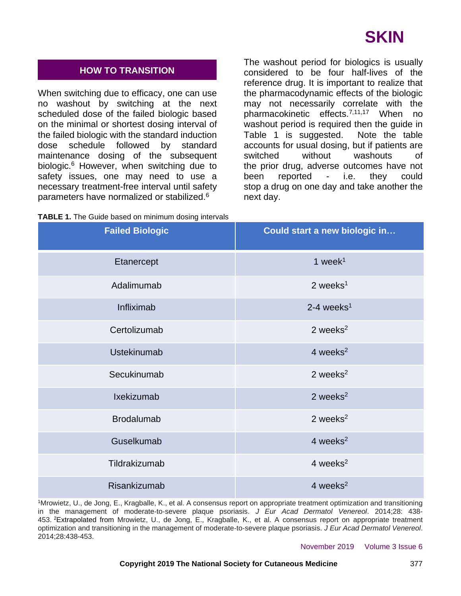#### **HOW TO TRANSITION**

When switching due to efficacy, one can use no washout by switching at the next scheduled dose of the failed biologic based on the minimal or shortest dosing interval of the failed biologic with the standard induction dose schedule followed by standard maintenance dosing of the subsequent biologic.<sup>6</sup> However, when switching due to safety issues, one may need to use a necessary treatment-free interval until safety parameters have normalized or stabilized.<sup>6</sup>

The washout period for biologics is usually considered to be four half-lives of the reference drug. It is important to realize that the pharmacodynamic effects of the biologic may not necessarily correlate with the pharmacokinetic effects.<sup>7,11,17</sup> When no washout period is required then the guide in Table 1 is suggested. Note the table accounts for usual dosing, but if patients are switched without washouts of the prior drug, adverse outcomes have not been reported - i.e. they could stop a drug on one day and take another the next day.

| <b>TABLE 1.</b> The Guide based on minimum dosing intervals |  |  |  |  |  |
|-------------------------------------------------------------|--|--|--|--|--|
|-------------------------------------------------------------|--|--|--|--|--|

| <b>Failed Biologic</b> | Could start a new biologic in |  |  |
|------------------------|-------------------------------|--|--|
| Etanercept             | 1 week $1$                    |  |  |
| Adalimumab             | $2$ weeks <sup>1</sup>        |  |  |
| Infliximab             | $2-4$ weeks <sup>1</sup>      |  |  |
| Certolizumab           | 2 weeks $2$                   |  |  |
| <b>Ustekinumab</b>     | 4 weeks $2$                   |  |  |
| Secukinumab            | 2 weeks $2$                   |  |  |
| Ixekizumab             | 2 weeks $2$                   |  |  |
| <b>Brodalumab</b>      | 2 weeks $2$                   |  |  |
| Guselkumab             | 4 weeks $2$                   |  |  |
| Tildrakizumab          | 4 weeks $2$                   |  |  |
| Risankizumab           | 4 weeks $2$                   |  |  |

<sup>1</sup>Mrowietz, U., de Jong, E., Kragballe, K., et al. A consensus report on appropriate treatment optimization and transitioning in the management of moderate‐to‐severe plaque psoriasis. *J Eur Acad Dermatol Venereol*. 2014;28: 438- 453. <sup>2</sup>Extrapolated from Mrowietz, U., de Jong, E., Kragballe, K., et al. A consensus report on appropriate treatment optimization and transitioning in the management of moderate‐to‐severe plaque psoriasis. *J Eur Acad Dermatol Venereol*. 2014;28:438-453.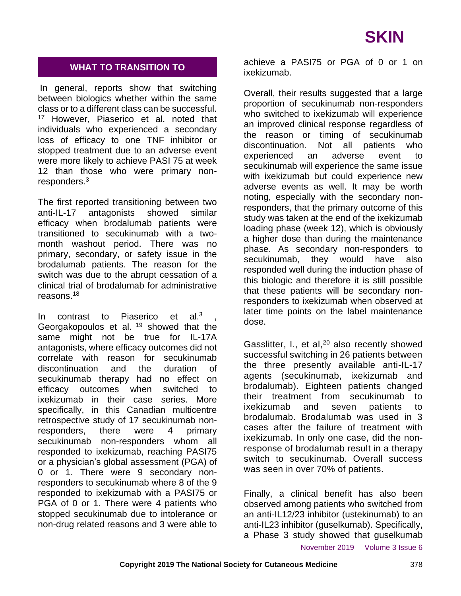### **WHAT TO TRANSITION TO**

In general, reports show that switching between biologics whether within the same class or to a different class can be successful. <sup>17</sup> However, Piaserico et al. noted that individuals who experienced a secondary loss of efficacy to one TNF inhibitor or stopped treatment due to an adverse event were more likely to achieve PASI 75 at week 12 than those who were primary nonresponders.<sup>3</sup>

The first reported transitioning between two anti-IL-17 antagonists showed similar efficacy when brodalumab patients were transitioned to secukinumab with a twomonth washout period. There was no primary, secondary, or safety issue in the brodalumab patients. The reason for the switch was due to the abrupt cessation of a clinical trial of brodalumab for administrative reasons.<sup>18</sup>

In contrast to Piaserico et al.<sup>3</sup> , Georgakopoulos et al. <sup>19</sup> showed that the same might not be true for IL-17A antagonists, where efficacy outcomes did not correlate with reason for secukinumab discontinuation and the duration of secukinumab therapy had no effect on efficacy outcomes when switched to ixekizumab in their case series. More specifically, in this Canadian multicentre retrospective study of 17 secukinumab nonresponders, there were 4 primary secukinumab non-responders whom all responded to ixekizumab, reaching PASI75 or a physician's global assessment (PGA) of 0 or 1. There were 9 secondary nonresponders to secukinumab where 8 of the 9 responded to ixekizumab with a PASI75 or PGA of 0 or 1. There were 4 patients who stopped secukinumab due to intolerance or non-drug related reasons and 3 were able to

achieve a PASI75 or PGA of 0 or 1 on ixekizumab.

Overall, their results suggested that a large proportion of secukinumab non-responders who switched to ixekizumab will experience an improved clinical response regardless of the reason or timing of secukinumab discontinuation. Not all patients who experienced an adverse event to secukinumab will experience the same issue with ixekizumab but could experience new adverse events as well. It may be worth noting, especially with the secondary nonresponders, that the primary outcome of this study was taken at the end of the ixekizumab loading phase (week 12), which is obviously a higher dose than during the maintenance phase. As secondary non-responders to secukinumab, they would have also responded well during the induction phase of this biologic and therefore it is still possible that these patients will be secondary nonresponders to ixekizumab when observed at later time points on the label maintenance dose.

Gasslitter, I., et al,<sup>20</sup> also recently showed successful switching in 26 patients between the three presently available anti-IL-17 agents (secukinumab, ixekizumab and brodalumab). Eighteen patients changed their treatment from secukinumab to ixekizumab and seven patients to brodalumab. Brodalumab was used in 3 cases after the failure of treatment with ixekizumab. In only one case, did the nonresponse of brodalumab result in a therapy switch to secukinumab. Overall success was seen in over 70% of patients.

Finally, a clinical benefit has also been observed among patients who switched from an anti-IL12/23 inhibitor (ustekinumab) to an anti-IL23 inhibitor (guselkumab). Specifically, a Phase 3 study showed that guselkumab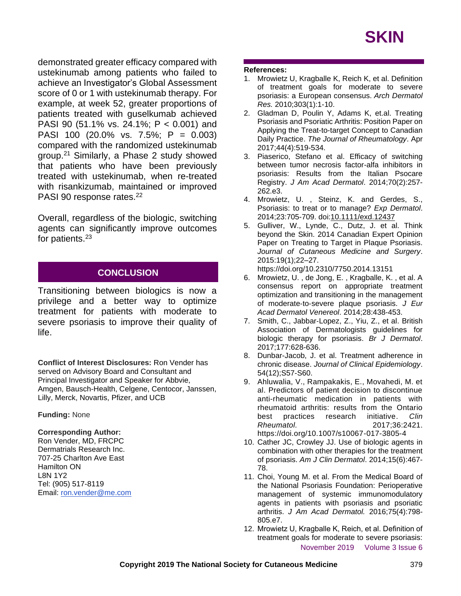demonstrated greater efficacy compared with ustekinumab among patients who failed to achieve an Investigator's Global Assessment score of 0 or 1 with ustekinumab therapy. For example, at week 52, greater proportions of patients treated with guselkumab achieved PASI 90 (51.1% vs. 24.1%; P < 0.001) and PASI 100 (20.0% vs. 7.5%; P = 0.003) compared with the randomized ustekinumab group.<sup>21</sup> Similarly, a Phase 2 study showed that patients who have been previously treated with ustekinumab, when re-treated with risankizumab, maintained or improved PASI 90 response rates.<sup>22</sup>

Overall, regardless of the biologic, switching agents can significantly improve outcomes for patients.<sup>23</sup>

## **CONCLUSION**

Transitioning between biologics is now a privilege and a better way to optimize treatment for patients with moderate to severe psoriasis to improve their quality of life.

**Conflict of Interest Disclosures:** Ron Vender has served on Advisory Board and Consultant and Principal Investigator and Speaker for Abbvie, Amgen, Bausch-Health, Celgene, Centocor, Janssen, Lilly, Merck, Novartis, Pfizer, and UCB

#### **Funding:** None

#### **Corresponding Author:**

Ron Vender, MD, FRCPC Dermatrials Research Inc. 707-25 Charlton Ave East Hamilton ON L8N 1Y2 Tel: (905) 517-8119 Email: [ron.vender@me.com](mailto:ron.vender@me.com)

#### **References:**

- 1. Mrowietz U, Kragballe K, Reich K, et al. Definition of treatment goals for moderate to severe psoriasis: a European consensus. *Arch Dermatol Res.* 2010;303(1):1-10.
- 2. Gladman D, Poulin Y, Adams K, et.al. Treating Psoriasis and Psoriatic Arthritis: Position Paper on Applying the Treat-to-target Concept to Canadian Daily Practice. *The Journal of Rheumatology*. Apr 2017;44(4):519-534.
- 3. Piaserico, Stefano et al. Efficacy of switching between tumor necrosis factor-alfa inhibitors in psoriasis: Results from the Italian Psocare Registry. *J Am Acad Dermatol*. 2014;70(2):257- 262.e3.
- 4. Mrowietz, U. , Steinz, K. and Gerdes, S., Psoriasis: to treat or to manage? *Exp Dermatol*. 2014;23:705-709. doi[:10.1111/exd.12437](https://doi.org/10.1111/exd.12437)
- 5. Gulliver, W., Lynde, C., Dutz, J. et al. Think beyond the Skin. 2014 Canadian Expert Opinion Paper on Treating to Target in Plaque Psoriasis. *Journal of Cutaneous Medicine and Surgery*. 2015:19(1);22–27.

https://doi.org/10.2310/7750.2014.13151

- 6. Mrowietz, U. , de Jong, E. , Kragballe, K. , et al. A consensus report on appropriate treatment optimization and transitioning in the management of moderate‐to‐severe plaque psoriasis. *J Eur Acad Dermatol Venereol*. 2014;28:438-453.
- 7. Smith, C., Jabbar‐Lopez, Z., Yiu, Z., et al. British Association of Dermatologists guidelines for biologic therapy for psoriasis. *Br J Dermatol*. 2017;177:628-636.
- 8. Dunbar-Jacob, J. et al. Treatment adherence in chronic disease. *Journal of Clinical Epidemiology*. 54(12);S57-S60.
- 9. Ahluwalia, V., Rampakakis, E., Movahedi, M. et al. Predictors of patient decision to discontinue anti-rheumatic medication in patients with rheumatoid arthritis: results from the Ontario best practices research initiative. *Clin Rheumatol.* 2017;36:2421. https://doi.org/10.1007/s10067-017-3805-4
- 10. Cather JC, Crowley JJ. Use of biologic agents in combination with other therapies for the treatment of psoriasis. *Am J Clin Dermatol*. 2014;15(6):467- 78.
- 11. Choi, Young M. et al. From the Medical Board of the National Psoriasis Foundation: Perioperative management of systemic immunomodulatory agents in patients with psoriasis and psoriatic arthritis. *J Am Acad Dermatol.* 2016;75(4):798- 805.e7.
- November 2019 Volume 3 Issue 6 12. Mrowietz U, Kragballe K, Reich, et al. Definition of treatment goals for moderate to severe psoriasis: